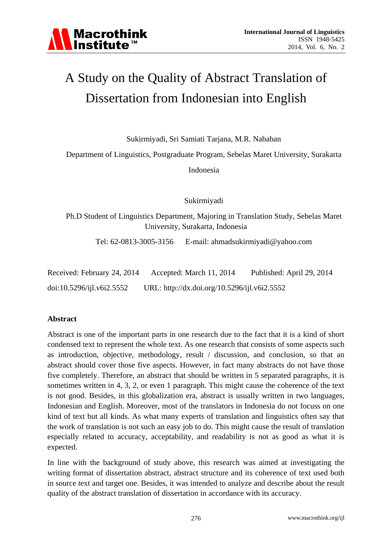# A Study on the Quality of Abstract Translation of Dissertation from Indonesian into English

Sukirmiyadi, Sri Samiati Tarjana, M.R. Nababan

Department of Linguistics, Postgraduate Program, Sebelas Maret University, Surakarta

Indonesia

Sukirmiyadi

Ph.D Student of Linguistics Department, Majoring in Translation Study, Sebelas Maret University, Surakarta, Indonesia

Tel: 62-0813-3005-3156 E-mail: [ahmadsukirmiyadi@yahoo.com](mailto:ahmadsukirmiyadi@yahoo.com)

| Received: February 24, 2014 | Accepted: March 11, 2014                     | Published: April 29, 2014 |
|-----------------------------|----------------------------------------------|---------------------------|
| doi:10.5296/ij1.v6i2.5552   | URL: http://dx.doi.org/10.5296/ijl.v6i2.5552 |                           |

#### **Abstract**

Abstract is one of the important parts in one research due to the fact that it is a kind of short condensed text to represent the whole text. As one research that consists of some aspects such as introduction, objective, methodology, result / discussion, and conclusion, so that an abstract should cover those five aspects. However, in fact many abstracts do not have those five completely. Therefore, an abstract that should be written in 5 separated paragraphs, it is sometimes written in 4, 3, 2, or even 1 paragraph. This might cause the coherence of the text is not good. Besides, in this globalization era, abstract is usually written in two languages, Indonesian and English. Moreover, most of the translators in Indonesia do not focuss on one kind of text but all kinds. As what many experts of translation and linguistics often say that the work of translation is not such an easy job to do. This might cause the result of translation especially related to accuracy, acceptability, and readability is not as good as what it is expected.

In line with the background of study above, this research was aimed at investigating the writing format of dissertation abstract, abstract structure and its coherence of text used both in source text and target one. Besides, it was intended to analyze and describe about the result quality of the abstract translation of dissertation in accordance with its accuracy.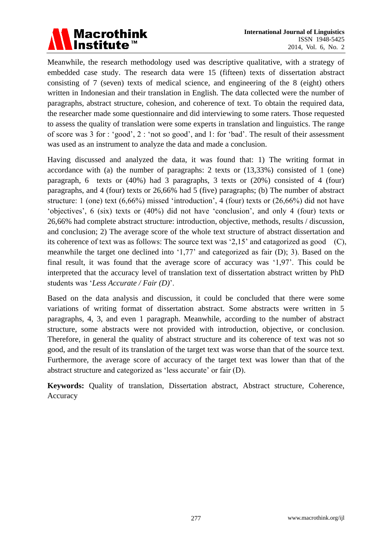

Meanwhile, the research methodology used was descriptive qualitative, with a strategy of embedded case study. The research data were 15 (fifteen) texts of dissertation abstract consisting of 7 (seven) texts of medical science, and engineering of the 8 (eight) others written in Indonesian and their translation in English. The data collected were the number of paragraphs, abstract structure, cohesion, and coherence of text. To obtain the required data, the researcher made some questionnaire and did interviewing to some raters. Those requested to assess the quality of translation were some experts in translation and linguistics. The range of score was 3 for : 'good', 2 : 'not so good', and 1: for 'bad'. The result of their assessment was used as an instrument to analyze the data and made a conclusion.

Having discussed and analyzed the data, it was found that: 1) The writing format in accordance with (a) the number of paragraphs: 2 texts or (13,33%) consisted of 1 (one) paragraph, 6 texts or (40%) had 3 paragraphs, 3 texts or (20%) consisted of 4 (four) paragraphs, and 4 (four) texts or 26,66% had 5 (five) paragraphs; (b) The number of abstract structure: 1 (one) text (6,66%) missed 'introduction', 4 (four) texts or (26,66%) did not have 'objectives', 6 (six) texts or (40%) did not have 'conclusion', and only 4 (four) texts or 26,66% had complete abstract structure: introduction, objective, methods, results / discussion, and conclusion; 2) The average score of the whole text structure of abstract dissertation and its coherence of text was as follows: The source text was '2,15' and catagorized as good (C), meanwhile the target one declined into '1,77' and categorized as fair (D); 3). Based on the final result, it was found that the average score of accuracy was '1,97'. This could be interpreted that the accuracy level of translation text of dissertation abstract written by PhD students was '*Less Accurate / Fair (D)*'.

Based on the data analysis and discussion, it could be concluded that there were some variations of writing format of dissertation abstract. Some abstracts were written in 5 paragraphs, 4, 3, and even 1 paragraph. Meanwhile, according to the number of abstract structure, some abstracts were not provided with introduction, objective, or conclusion. Therefore, in general the quality of abstract structure and its coherence of text was not so good, and the result of its translation of the target text was worse than that of the source text. Furthermore, the average score of accuracy of the target text was lower than that of the abstract structure and categorized as 'less accurate' or fair (D).

**Keywords:** Quality of translation, Dissertation abstract, Abstract structure, Coherence, Accuracy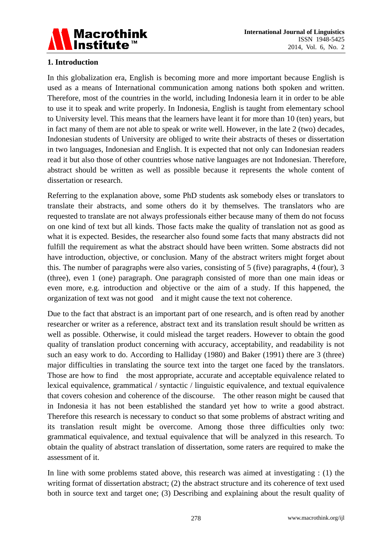

# **1. Introduction**

In this globalization era, English is becoming more and more important because English is used as a means of International communication among nations both spoken and written. Therefore, most of the countries in the world, including Indonesia learn it in order to be able to use it to speak and write properly. In Indonesia, English is taught from elementary school to University level. This means that the learners have leant it for more than 10 (ten) years, but in fact many of them are not able to speak or write well. However, in the late 2 (two) decades, Indonesian students of University are obliged to write their abstracts of theses or dissertation in two languages, Indonesian and English. It is expected that not only can Indonesian readers read it but also those of other countries whose native languages are not Indonesian. Therefore, abstract should be written as well as possible because it represents the whole content of dissertation or research.

Referring to the explanation above, some PhD students ask somebody elses or translators to translate their abstracts, and some others do it by themselves. The translators who are requested to translate are not always professionals either because many of them do not focuss on one kind of text but all kinds. Those facts make the quality of translation not as good as what it is expected. Besides, the researcher also found some facts that many abstracts did not fulfill the requirement as what the abstract should have been written. Some abstracts did not have introduction, objective, or conclusion. Many of the abstract writers might forget about this. The number of paragraphs were also varies, consisting of 5 (five) paragraphs, 4 (four), 3 (three), even 1 (one) paragraph. One paragraph consisted of more than one main ideas or even more, e.g. introduction and objective or the aim of a study. If this happened, the organization of text was not good and it might cause the text not coherence.

Due to the fact that abstract is an important part of one research, and is often read by another researcher or writer as a reference, abstract text and its translation result should be written as well as possible. Otherwise, it could mislead the target readers. However to obtain the good quality of translation product concerning with accuracy, acceptability, and readability is not such an easy work to do. According to Halliday (1980) and Baker (1991) there are 3 (three) major difficulties in translating the source text into the target one faced by the translators. Those are how to find the most appropriate, accurate and acceptable equivalence related to lexical equivalence, grammatical / syntactic / linguistic equivalence, and textual equivalence that covers cohesion and coherence of the discourse. The other reason might be caused that in Indonesia it has not been established the standard yet how to write a good abstract. Therefore this research is necessary to conduct so that some problems of abstract writing and its translation result might be overcome. Among those three difficulties only two: grammatical equivalence, and textual equivalence that will be analyzed in this research. To obtain the quality of abstract translation of dissertation, some raters are required to make the assessment of it.

In line with some problems stated above, this research was aimed at investigating : (1) the writing format of dissertation abstract; (2) the abstract structure and its coherence of text used both in source text and target one; (3) Describing and explaining about the result quality of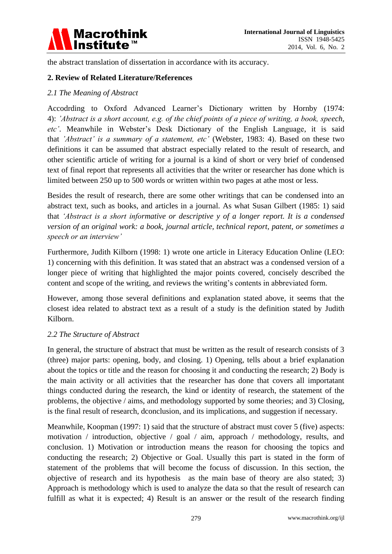

the abstract translation of dissertation in accordance with its accuracy.

#### **2. Review of Related Literature/References**

#### *2.1 The Meaning of Abstract*

Accodrding to Oxford Advanced Learner's Dictionary written by Hornby (1974: 4): *'Abstract is a short account, e.g. of the chief points of a piece of writing, a book, speech, etc'*. Meanwhile in Webster's Desk Dictionary of the English Language, it is said that *'Abstract' is a summary of a statement, etc'* (Webster, 1983: 4). Based on these two definitions it can be assumed that abstract especially related to the result of research, and other scientific article of writing for a journal is a kind of short or very brief of condensed text of final report that represents all activities that the writer or researcher has done which is limited between 250 up to 500 words or written within two pages at athe most or less.

Besides the result of research, there are some other writings that can be condensed into an abstract text, such as books, and articles in a journal. As what Susan Gilbert (1985: 1) said that *'Abstract is a short informative or descriptive y of a longer report. It is a condensed version of an original work: a book, journal article, technical report, patent, or sometimes a speech or an interview'* 

Furthermore, Judith Kilborn (1998: 1) wrote one article in Literacy Education Online (LEO: 1) concerning with this definition. It was stated that an abstract was a condensed version of a longer piece of writing that highlighted the major points covered, concisely described the content and scope of the writing, and reviews the writing's contents in abbreviated form.

However, among those several definitions and explanation stated above, it seems that the closest idea related to abstract text as a result of a study is the definition stated by Judith Kilborn.

#### *2.2 The Structure of Abstract*

In general, the structure of abstract that must be written as the result of research consists of 3 (three) major parts: opening, body, and closing. 1) Opening, tells about a brief explanation about the topics or title and the reason for choosing it and conducting the research; 2) Body is the main activity or all activities that the researcher has done that covers all importatant things conducted during the research, the kind or identity of research, the statement of the problems, the objective / aims, and methodology supported by some theories; and 3) Closing, is the final result of research, dconclusion, and its implications, and suggestion if necessary.

Meanwhile, Koopman (1997: 1) said that the structure of abstract must cover 5 (five) aspects: motivation / introduction, objective / goal / aim, approach / methodology, results, and conclusion. 1) Motivation or introduction means the reason for choosing the topics and conducting the research; 2) Objective or Goal. Usually this part is stated in the form of statement of the problems that will become the focuss of discussion. In this section, the objective of research and its hypothesis as the main base of theory are also stated; 3) Approach is methodology which is used to analyze the data so that the result of research can fulfill as what it is expected; 4) Result is an answer or the result of the research finding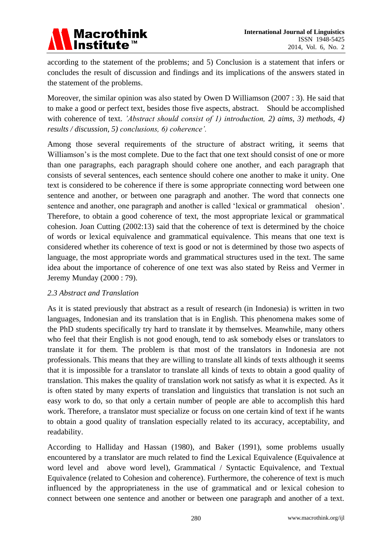

according to the statement of the problems; and 5) Conclusion is a statement that infers or concludes the result of discussion and findings and its implications of the answers stated in the statement of the problems.

Moreover, the similar opinion was also stated by Owen D Williamson (2007 : 3). He said that to make a good or perfect text, besides those five aspects, abstract. Should be accomplished with coherence of text. *'Abstract should consist of 1) introduction*, 2) aims, 3) methods, 4) *results / discussion, 5) conclusions, 6) coherence'.*

Among those several requirements of the structure of abstract writing, it seems that Williamson's is the most complete. Due to the fact that one text should consist of one or more than one paragraphs, each paragraph should cohere one another, and each paragraph that consists of several sentences, each sentence should cohere one another to make it unity. One text is considered to be coherence if there is some appropriate connecting word between one sentence and another, or between one paragraph and another. The word that connects one sentence and another, one paragraph and another is called 'lexical or grammatical ohesion'. Therefore, to obtain a good coherence of text, the most appropriate lexical or grammatical cohesion. Joan Cutting (2002:13) said that the coherence of text is determined by the choice of words or lexical equivalence and grammatical equivalence. This means that one text is considered whether its coherence of text is good or not is determined by those two aspects of language, the most appropriate words and grammatical structures used in the text. The same idea about the importance of coherence of one text was also stated by Reiss and Vermer in Jeremy Munday (2000 : 79).

#### *2.3 Abstract and Translation*

As it is stated previously that abstract as a result of research (in Indonesia) is written in two languages, Indonesian and its translation that is in English. This phenomena makes some of the PhD students specifically try hard to translate it by themselves. Meanwhile, many others who feel that their English is not good enough, tend to ask somebody elses or translators to translate it for them. The problem is that most of the translators in Indonesia are not professionals. This means that they are willing to translate all kinds of texts although it seems that it is impossible for a translator to translate all kinds of texts to obtain a good quality of translation. This makes the quality of translation work not satisfy as what it is expected. As it is often stated by many experts of translation and linguistics that translation is not such an easy work to do, so that only a certain number of people are able to accomplish this hard work. Therefore, a translator must specialize or focuss on one certain kind of text if he wants to obtain a good quality of translation especially related to its accuracy, acceptability, and readability.

According to Halliday and Hassan (1980), and Baker (1991), some problems usually encountered by a translator are much related to find the Lexical Equivalence (Equivalence at word level and above word level), Grammatical / Syntactic Equivalence, and Textual Equivalence (related to Cohesion and coherence). Furthermore, the coherence of text is much influenced by the appropriateness in the use of grammatical and or lexical cohesion to connect between one sentence and another or between one paragraph and another of a text.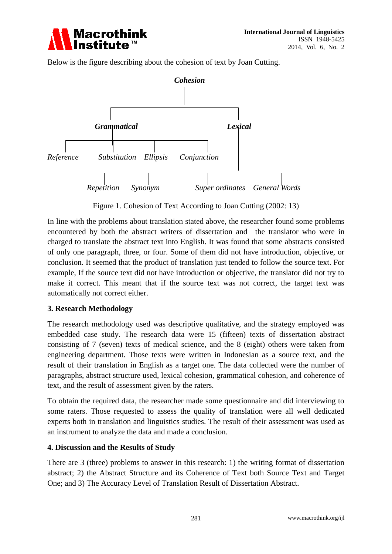

Below is the figure describing about the cohesion of text by Joan Cutting.



Figure 1. Cohesion of Text According to Joan Cutting (2002: 13)

In line with the problems about translation stated above, the researcher found some problems encountered by both the abstract writers of dissertation and the translator who were in charged to translate the abstract text into English. It was found that some abstracts consisted of only one paragraph, three, or four. Some of them did not have introduction, objective, or conclusion. It seemed that the product of translation just tended to follow the source text. For example, If the source text did not have introduction or objective, the translator did not try to make it correct. This meant that if the source text was not correct, the target text was automatically not correct either.

#### **3. Research Methodology**

The research methodology used was descriptive qualitative, and the strategy employed was embedded case study. The research data were 15 (fifteen) texts of dissertation abstract consisting of 7 (seven) texts of medical science, and the 8 (eight) others were taken from engineering department. Those texts were written in Indonesian as a source text, and the result of their translation in English as a target one. The data collected were the number of paragraphs, abstract structure used, lexical cohesion, grammatical cohesion, and coherence of text, and the result of assessment given by the raters.

To obtain the required data, the researcher made some questionnaire and did interviewing to some raters. Those requested to assess the quality of translation were all well dedicated experts both in translation and linguistics studies. The result of their assessment was used as an instrument to analyze the data and made a conclusion.

#### **4. Discussion and the Results of Study**

There are 3 (three) problems to answer in this research: 1) the writing format of dissertation abstract; 2) the Abstract Structure and its Coherence of Text both Source Text and Target One; and 3) The Accuracy Level of Translation Result of Dissertation Abstract.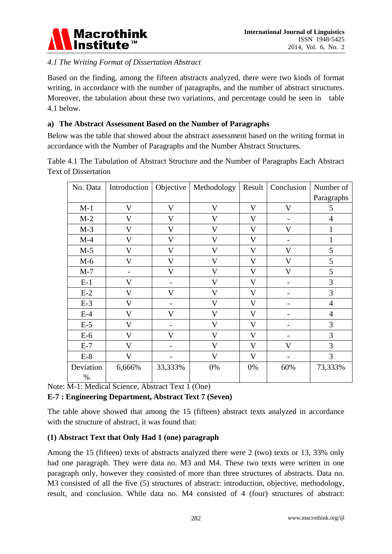

# *4.1 The Writing Format of Dissertation Abstract*

Based on the finding, among the fifteen abstracts analyzed, there were two kinds of format writing, in accordance with the number of paragraphs, and the number of abstract structures. Moreover, the tabulation about these two variations, and percentage could be seen in table 4.1 below.

#### **a) The Abstract Assessment Based on the Number of Paragraphs**

Below was the table that showed about the abstract assessment based on the writing format in accordance with the Number of Paragraphs and the Number Abstract Structures.

Table 4.1 The Tabulation of Abstract Structure and the Number of Paragraphs Each Abstract Text of Dissertation

| No. Data       | Introduction | Objective   | Methodology             | Result                  | Conclusion   | Number of      |
|----------------|--------------|-------------|-------------------------|-------------------------|--------------|----------------|
|                |              |             |                         |                         |              | Paragraphs     |
| $M-1$          | $\mathbf V$  | V           | V                       | V                       | $\mathbf{V}$ | 5              |
| $M-2$          | $\bf V$      | V           | V                       | V                       |              | $\overline{4}$ |
| $M-3$          | $\mathbf V$  | $\mathbf V$ | $\mathbf V$             | $\mathbf{V}$            | $\mathbf{V}$ | 1              |
| $M-4$          | $\bf V$      | $\mathbf V$ | V                       | V                       |              | 1              |
| $M-5$          | $\mathbf V$  | $\mathbf V$ | V                       | V                       | V            | 5              |
| $M-6$          | $\mathbf V$  | $\mathbf V$ | V                       | V                       | V            | 5              |
| $M-7$          |              | $\bf V$     | V                       | $\mathbf{V}$            | V            | 5              |
| $E-1$          | $\mathbf V$  |             | $\mathbf{V}$            | $\mathbf{V}$            |              | 3              |
| $E-2$          | $\mathbf V$  | V           | $\mathbf{V}$            | V                       |              | 3              |
| $E-3$          | $\mathbf V$  |             | $\mathbf{V}$            | V                       |              | 4              |
| $E-4$          | $\mathbf V$  | V           | V                       | V                       |              | 4              |
| $E-5$          | $\mathbf V$  |             | $\mathbf{V}$            | V                       |              | 3              |
| $E-6$          | $\mathbf V$  | V           | $\mathbf{V}$            | V                       |              | 3              |
| $E-7$          | $\bf V$      |             | $\overline{\mathsf{V}}$ | $\overline{\mathsf{V}}$ | V            | 3              |
| $E-8$          | $\bf V$      |             | V                       | V                       |              | 3              |
| Deviation<br>% | 6,666%       | 33,333%     | 0%                      | 0%                      | 60%          | 73,333%        |

Note: M-1: Medical Science, Abstract Text 1 (One)

#### **E-7 : Engineering Department, Abstract Text 7 (Seven)**

The table above showed that among the 15 (fifteen) abstract texts analyzed in accordance with the structure of abstract, it was found that:

#### **(1) Abstract Text that Only Had 1 (one) paragraph**

Among the 15 (fifteen) texts of abstracts analyzed there were 2 (two) texts or 13, 33% only had one paragraph. They were data no. M3 and M4. These two texts were written in one paragraph only, however they consisted of more than three structures of abstracts. Data no. M3 consisted of all the five (5) structures of abstract: introduction, objective, methodology, result, and conclusion. While data no. M4 consisted of 4 (four) structures of abstract: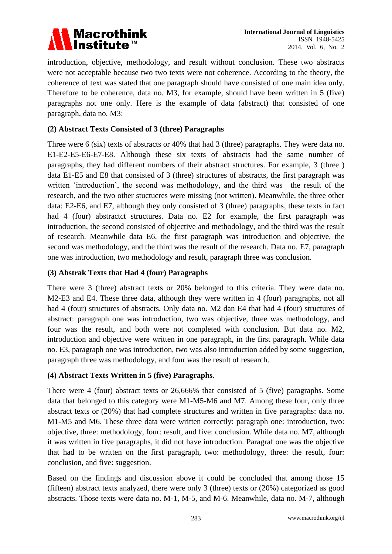

introduction, objective, methodology, and result without conclusion. These two abstracts were not acceptable because two two texts were not coherence. According to the theory, the coherence of text was stated that one paragraph should have consisted of one main idea only. Therefore to be coherence, data no. M3, for example, should have been written in 5 (five) paragraphs not one only. Here is the example of data (abstract) that consisted of one paragraph, data no. M3:

### **(2) Abstract Texts Consisted of 3 (three) Paragraphs**

Three were 6 (six) texts of abstracts or 40% that had 3 (three) paragraphs. They were data no. E1-E2-E5-E6-E7-E8. Although these six texts of abstracts had the same number of paragraphs, they had different numbers of their abstract structures. For example, 3 (three ) data E1-E5 and E8 that consisted of 3 (three) structures of abstracts, the first paragraph was written 'introduction', the second was methodology, and the third was the result of the research, and the two other stuctucres were missing (not written). Meanwhile, the three other data: E2-E6, and E7, although they only consisted of 3 (three) paragraphs, these texts in fact had 4 (four) abstractct structures. Data no. E2 for example, the first paragraph was introduction, the second consisted of objective and methodology, and the third was the result of research. Meanwhile data E6, the first paragraph was introduction and objective, the second was methodology, and the third was the result of the research. Data no. E7, paragraph one was introduction, two methodology and result, paragraph three was conclusion.

#### **(3) Abstrak Texts that Had 4 (four) Paragraphs**

There were 3 (three) abstract texts or 20% belonged to this criteria. They were data no. M2-E3 and E4. These three data, although they were written in 4 (four) paragraphs, not all had 4 (four) structures of abstracts. Only data no. M2 dan E4 that had 4 (four) structures of abstract: paragraph one was introduction, two was objective, three was methodology, and four was the result, and both were not completed with conclusion. But data no. M2, introduction and objective were written in one paragraph, in the first paragraph. While data no. E3, paragraph one was introduction, two was also introduction added by some suggestion, paragraph three was methodology, and four was the result of research.

#### **(4) Abstract Texts Written in 5 (five) Paragraphs.**

There were 4 (four) abstract texts or 26,666% that consisted of 5 (five) paragraphs. Some data that belonged to this category were M1-M5-M6 and M7. Among these four, only three abstract texts or (20%) that had complete structures and written in five paragraphs: data no. M1-M5 and M6. These three data were written correctly: paragraph one: introduction, two: objective, three: methodology, four: result, and five: conclusion. While data no. M7, although it was written in five paragraphs, it did not have introduction. Paragraf one was the objective that had to be written on the first paragraph, two: methodology, three: the result, four: conclusion, and five: suggestion.

Based on the findings and discussion above it could be concluded that among those 15 (fifteen) abstract texts analyzed, there were only 3 (three) texts or (20%) categorized as good abstracts. Those texts were data no. M-1, M-5, and M-6. Meanwhile, data no. M-7, although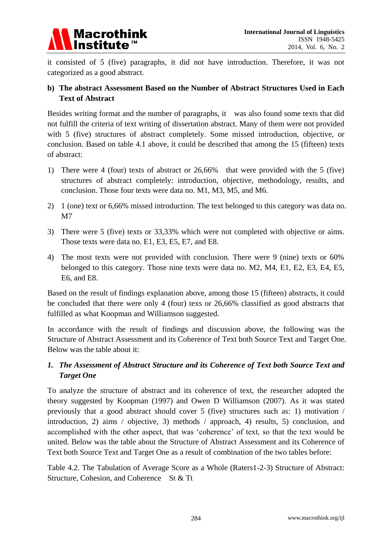

it consisted of 5 (five) paragraphs, it did not have introduction. Therefore, it was not categorized as a good abstract.

## **b) The abstract Assessment Based on the Number of Abstract Structures Used in Each Text of Abstract**

Besides writing format and the number of paragraphs, it was also found some texts that did not fulfill the criteria of text writing of dissertation abstract. Many of them were not provided with 5 (five) structures of abstract completely. Some missed introduction, objective, or conclusion. Based on table 4.1 above, it could be described that among the 15 (fifteen) texts of abstract:

- 1) There were 4 (four) texts of abstract or 26,66% that were provided with the 5 (five) structures of abstract completely: introduction, objective, methodology, results, and conclusion. Those four texts were data no. M1, M3, M5, and M6.
- 2) 1 (one) text or 6,66% missed introduction. The text belonged to this category was data no. M7
- 3) There were 5 (five) texts or 33,33% which were not completed with objective or aims. Those texts were data no. E1, E3, E5, E7, and E8.
- 4) The most texts were not provided with conclusion. There were 9 (nine) texts or 60% belonged to this category. Those nine texts were data no. M2, M4, E1, E2, E3, E4, E5, E6, and E8.

Based on the result of findings explanation above, among those 15 (fifteen) abstracts, it could be concluded that there were only 4 (four) texs or 26,66% classified as good abstracts that fulfilled as what Koopman and Williamson suggested.

In accordance with the result of findings and discussion above, the following was the Structure of Abstract Assessment and its Coherence of Text both Source Text and Target One. Below was the table about it:

# *1. The Assessment of Abstract Structure and its Coherence of Text both Source Text and Target One*

To analyze the structure of abstract and its coherence of text, the researcher adopted the theory suggested by Koopman (1997) and Owen D Williamson (2007). As it was stated previously that a good abstract should cover 5 (five) structures such as: 1) motivation / introduction, 2) aims / objective, 3) methods / approach, 4) results, 5) conclusion, and accomplished with the other aspect, that was 'coherence' of text, so that the text would be united. Below was the table about the Structure of Abstract Assessment and its Coherence of Text both Source Text and Target One as a result of combination of the two tables before:

Table 4.2. The Tabulation of Average Score as a Whole (Raters1-2-3) Structure of Abstract: Structure, Cohesion, and Coherence St & Tt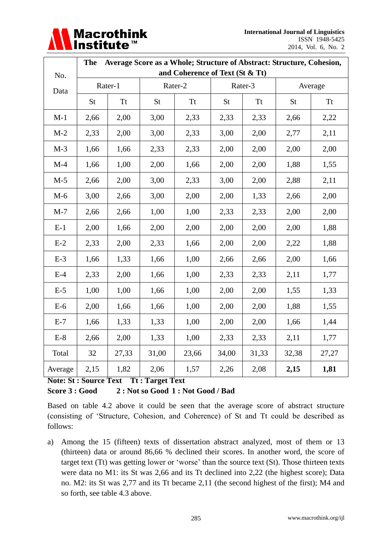

| No.     | Average Score as a Whole; Structure of Abstract: Structure, Cohesion,<br><b>The</b><br>and Coherence of Text (St & Tt) |           |           |           |           |           |           |       |
|---------|------------------------------------------------------------------------------------------------------------------------|-----------|-----------|-----------|-----------|-----------|-----------|-------|
| Data    |                                                                                                                        | Rater-1   | Rater-2   |           | Rater-3   |           | Average   |       |
|         | St                                                                                                                     | <b>Tt</b> | <b>St</b> | <b>Tt</b> | <b>St</b> | <b>Tt</b> | <b>St</b> | Tt    |
| $M-1$   | 2,66                                                                                                                   | 2,00      | 3,00      | 2,33      | 2,33      | 2,33      | 2,66      | 2,22  |
| $M-2$   | 2,33                                                                                                                   | 2,00      | 3,00      | 2,33      | 3,00      | 2,00      | 2,77      | 2,11  |
| $M-3$   | 1,66                                                                                                                   | 1,66      | 2,33      | 2,33      | 2,00      | 2,00      | 2,00      | 2,00  |
| $M-4$   | 1,66                                                                                                                   | 1,00      | 2,00      | 1,66      | 2,00      | 2,00      | 1,88      | 1,55  |
| $M-5$   | 2,66                                                                                                                   | 2,00      | 3,00      | 2,33      | 3,00      | 2,00      | 2,88      | 2,11  |
| $M-6$   | 3,00                                                                                                                   | 2,66      | 3,00      | 2,00      | 2,00      | 1,33      | 2,66      | 2,00  |
| $M-7$   | 2,66                                                                                                                   | 2,66      | 1,00      | 1,00      | 2,33      | 2,33      | 2,00      | 2,00  |
| $E-1$   | 2,00                                                                                                                   | 1,66      | 2,00      | 2,00      | 2,00      | 2,00      | 2,00      | 1,88  |
| $E-2$   | 2,33                                                                                                                   | 2,00      | 2,33      | 1,66      | 2,00      | 2,00      | 2,22      | 1,88  |
| $E-3$   | 1,66                                                                                                                   | 1,33      | 1,66      | 1,00      | 2,66      | 2,66      | 2,00      | 1,66  |
| $E-4$   | 2,33                                                                                                                   | 2,00      | 1,66      | 1,00      | 2,33      | 2,33      | 2,11      | 1,77  |
| $E-5$   | 1,00                                                                                                                   | 1,00      | 1,66      | 1,00      | 2,00      | 2,00      | 1,55      | 1,33  |
| $E-6$   | 2,00                                                                                                                   | 1,66      | 1,66      | 1,00      | 2,00      | 2,00      | 1,88      | 1,55  |
| $E-7$   | 1,66                                                                                                                   | 1,33      | 1,33      | 1,00      | 2,00      | 2,00      | 1,66      | 1,44  |
| $E-8$   | 2,66                                                                                                                   | 2,00      | 1,33      | 1,00      | 2,33      | 2,33      | 2,11      | 1,77  |
| Total   | 32                                                                                                                     | 27,33     | 31,00     | 23,66     | 34,00     | 31,33     | 32,38     | 27,27 |
| Average | 2,15                                                                                                                   | 1,82      | 2,06      | 1,57      | 2,26      | 2,08      | 2,15      | 1,81  |

**Note: St : Source Text Tt : Target Text Score 3 : Good 2 : Not so Good 1 : Not Good / Bad**

Based on table 4.2 above it could be seen that the average score of abstract structure (consisting of 'Structure, Cohesion, and Coherence) of St and Tt could be described as follows:

a) Among the 15 (fifteen) texts of dissertation abstract analyzed, most of them or 13 (thirteen) data or around 86,66 % declined their scores. In another word, the score of target text (Tt) was getting lower or 'worse' than the source text (St). Those thirteen texts were data no M1: its St was 2,66 and its Tt declined into 2,22 (the highest score); Data no. M2: its St was 2,77 and its Tt became 2,11 (the second highest of the first); M4 and so forth, see table 4.3 above.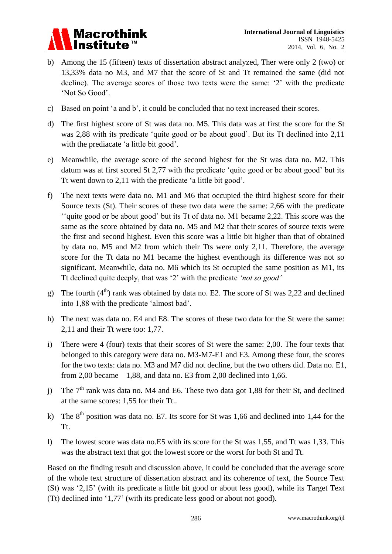

- b) Among the 15 (fifteen) texts of dissertation abstract analyzed, Ther were only 2 (two) or 13,33% data no M3, and M7 that the score of St and Tt remained the same (did not decline). The average scores of those two texts were the same: '2' with the predicate 'Not So Good'.
- c) Based on point 'a and b', it could be concluded that no text increased their scores.
- d) The first highest score of St was data no. M5. This data was at first the score for the St was 2,88 with its predicate 'quite good or be about good'. But its Tt declined into 2,11 with the prediacate 'a little bit good'.
- e) Meanwhile, the average score of the second highest for the St was data no. M2. This datum was at first scored St 2,77 with the predicate 'quite good or be about good' but its Tt went down to 2,11 with the predicate 'a little bit good'.
- f) The next texts were data no. M1 and M6 that occupied the third highest score for their Source texts (St). Their scores of these two data were the same: 2,66 with the predicate ''quite good or be about good' but its Tt of data no. M1 became 2,22. This score was the same as the score obtained by data no. M5 and M2 that their scores of source texts were the first and second highest. Even this score was a little bit higher than that of obtained by data no. M5 and M2 from which their Tts were only 2,11. Therefore, the average score for the Tt data no M1 became the highest eventhough its difference was not so significant. Meanwhile, data no. M6 which its St occupied the same position as M1, its Tt declined quite deeply, that was '2' with the predicate *'not so good'*
- g) The fourth  $(4<sup>th</sup>)$  rank was obtained by data no. E2. The score of St was 2,22 and declined into 1,88 with the predicate 'almost bad'.
- h) The next was data no. E4 and E8. The scores of these two data for the St were the same: 2,11 and their Tt were too: 1,77.
- i) There were 4 (four) texts that their scores of St were the same: 2,00. The four texts that belonged to this category were data no. M3-M7-E1 and E3. Among these four, the scores for the two texts: data no. M3 and M7 did not decline, but the two others did. Data no. E1, from 2,00 became 1,88, and data no. E3 from 2,00 declined into 1,66.
- j) The  $7<sup>th</sup>$  rank was data no. M4 and E6. These two data got 1,88 for their St, and declined at the same scores: 1,55 for their Tt..
- k) The  $8<sup>th</sup>$  position was data no. E7. Its score for St was 1,66 and declined into 1,44 for the Tt.
- l) The lowest score was data no.E5 with its score for the St was 1,55, and Tt was 1,33. This was the abstract text that got the lowest score or the worst for both St and Tt.

Based on the finding result and discussion above, it could be concluded that the average score of the whole text structure of dissertation abstract and its coherence of text, the Source Text (St) was '2,15' (with its predicate a little bit good or about less good), while its Target Text (Tt) declined into '1,77' (with its predicate less good or about not good)*.*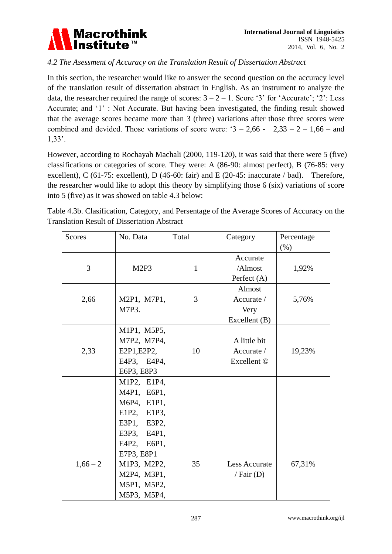

*4.2 The Asessment of Accuracy on the Translation Result of Dissertation Abstract*

In this section, the researcher would like to answer the second question on the accuracy level of the translation result of dissertation abstract in English. As an instrument to analyze the data, the researcher required the range of scores:  $3 - 2 - 1$ . Score '3' for 'Accurate'; '2': Less Accurate; and '1' : Not Accurate. But having been investigated, the finding result showed that the average scores became more than 3 (three) variations after those three scores were combined and devided. Those variations of score were: ' $3 - 2,66 - 2,33 - 2 - 1,66 -$  and 1,33'.

However, according to Rochayah Machali (2000, 119-120), it was said that there were 5 (five) classifications or categories of score. They were: A (86-90: almost perfect), B (76-85: very excellent), C (61-75: excellent), D (46-60: fair) and E (20-45: inaccurate / bad). Therefore, the researcher would like to adopt this theory by simplifying those 6 (six) variations of score into 5 (five) as it was showed on table 4.3 below:

Table 4.3b. Clasification, Category, and Persentage of the Average Scores of Accuracy on the Translation Result of Dissertation Abstract

| <b>Scores</b> | No. Data         | Total        | Category      | Percentage |
|---------------|------------------|--------------|---------------|------------|
|               |                  |              |               | (% )       |
|               |                  |              | Accurate      |            |
| 3             | M <sub>2P3</sub> | $\mathbf{1}$ | /Almost       | 1,92%      |
|               |                  |              | Perfect $(A)$ |            |
|               |                  |              | Almost        |            |
| 2,66          | M2P1, M7P1,      | 3            | Accurate /    | 5,76%      |
|               | M7P3.            |              | Very          |            |
|               |                  |              | Excellent (B) |            |
|               | M1P1, M5P5,      |              |               |            |
|               | M7P2, M7P4,      |              | A little bit  |            |
| 2,33          | E2P1, E2P2,      | 10           | Accurate /    | 19,23%     |
|               | E4P3, E4P4,      |              | Excellent ©   |            |
|               | E6P3, E8P3       |              |               |            |
|               | M1P2, E1P4,      |              |               |            |
|               | M4P1, E6P1,      |              |               |            |
|               | M6P4, E1P1,      |              |               |            |
|               | E1P2, E1P3,      |              |               |            |
|               | E3P1, E3P2,      |              |               |            |
|               | E3P3, E4P1,      |              |               |            |
|               | E4P2, E6P1,      |              |               |            |
|               | E7P3, E8P1       |              |               |            |
| $1,66 - 2$    | M1P3, M2P2,      | 35           | Less Accurate | 67,31%     |
|               | M2P4, M3P1,      |              | / Fair $(D)$  |            |
|               | M5P1, M5P2,      |              |               |            |
|               | M5P3, M5P4,      |              |               |            |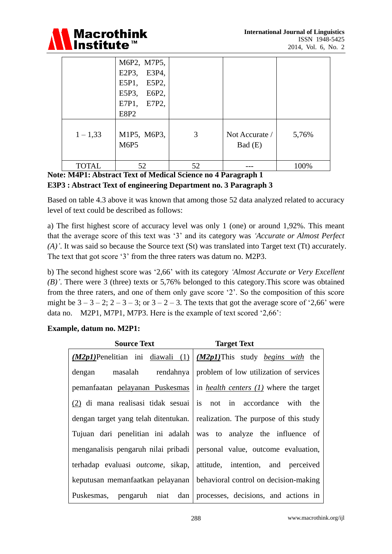

|              | M6P2, M7P5,         |    |                          |       |
|--------------|---------------------|----|--------------------------|-------|
|              | E2P3, E3P4,         |    |                          |       |
|              | E5P1, E5P2,         |    |                          |       |
|              | E5P3, E6P2,         |    |                          |       |
|              | E7P2,<br>E7P1,      |    |                          |       |
|              | <b>E8P2</b>         |    |                          |       |
| $1 - 1,33$   | M1P5, M6P3,<br>M6P5 | 3  | Not Accurate /<br>Bad(E) | 5,76% |
| <b>TOTAL</b> | 52                  | 52 |                          | 100%  |

# **Note: M4P1: Abstract Text of Medical Science no 4 Paragraph 1 E3P3 : Abstract Text of engineering Department no. 3 Paragraph 3**

Based on table 4.3 above it was known that among those 52 data analyzed related to accuracy level of text could be described as follows:

a) The first highest score of accuracy level was only 1 (one) or around 1,92%. This meant that the average score of this text was '3' and its category was *'Accurate or Almost Perfect (A)'*. It was said so because the Source text (St) was translated into Target text (Tt) accurately. The text that got score '3' from the three raters was datum no. M2P3.

b) The second highest score was '2,66' with its category *'Almost Accurate or Very Excellent (B)'*. There were 3 (three) texts or 5,76% belonged to this category.This score was obtained from the three raters, and one of them only gave score '2'. So the composition of this score might be  $3 - 3 - 2$ ;  $2 - 3 - 3$ ; or  $3 - 2 - 3$ . The texts that got the average score of '2,66' were data no. M2P1, M7P1, M7P3. Here is the example of text scored '2,66':

#### **Example, datum no. M2P1:**

| <b>Source Text</b> | <b>Target Text</b>                                                             |
|--------------------|--------------------------------------------------------------------------------|
|                    | $(M2p1)$ Penelitian ini diawali (1) $(M2p1)$ This study <i>begins with</i> the |
| dengan             | masalah rendahnya problem of low utilization of services                       |
|                    | pemanfaatan pelayanan Puskesmas in <i>health centers (1)</i> where the target  |
|                    | $(2)$ di mana realisasi tidak sesuai is not in accordance with the             |
|                    | dengan target yang telah ditentukan.   realization. The purpose of this study  |
|                    | Tujuan dari penelitian ini adalah was to analyze the influence of              |
|                    | menganalisis pengaruh nilai pribadi personal value, outcome evaluation,        |
|                    | terhadap evaluasi <i>outcome</i> , sikap, attitude, intention, and perceived   |
|                    | keputusan memanfaatkan pelayanan behavioral control on decision-making         |
| Puskesmas,         | pengaruh niat dan processes, decisions, and actions in                         |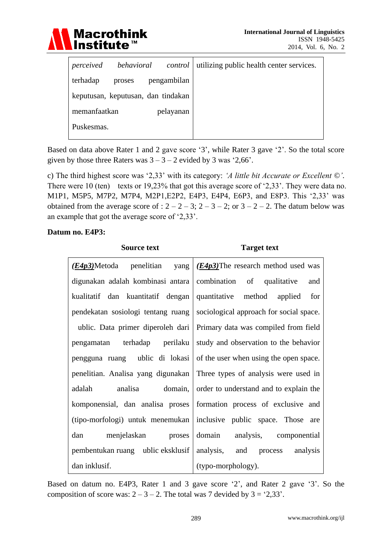

| perceived    |        |                                    | <i>behavioral control</i> utilizing public health center services. |
|--------------|--------|------------------------------------|--------------------------------------------------------------------|
| terhadap     | proses | pengambilan                        |                                                                    |
|              |        | keputusan, keputusan, dan tindakan |                                                                    |
| memanfaatkan |        | pelayanan                          |                                                                    |
| Puskesmas.   |        |                                    |                                                                    |
|              |        |                                    |                                                                    |

Based on data above Rater 1 and 2 gave score '3', while Rater 3 gave '2'. So the total score given by those three Raters was  $3 - 3 - 2$  evided by 3 was '2,66'.

c) The third highest score was '2,33' with its category: *'A little bit Accurate or Excellent ©'*. There were 10 (ten) texts or 19,23% that got this average score of '2,33'. They were data no. M1P1, M5P5, M7P2, M7P4, M2P1,E2P2, E4P3, E4P4, E6P3, and E8P3. This '2,33' was obtained from the average score of :  $2 - 2 - 3$ ;  $2 - 3 - 2$ ; or  $3 - 2 - 2$ . The datum below was an example that got the average score of '2,33'.

#### **Datum no. E4P3:**

| <b>Source text</b>                                            | <b>Target text</b>                                                         |
|---------------------------------------------------------------|----------------------------------------------------------------------------|
| ( <i>E4p3</i> )Metoda penelitian                              | yang $(E4p3)$ The research method used was                                 |
| digunakan adalah kombinasi antara combination of qualitative  | and                                                                        |
| kualitatif dan kuantitatif dengan quantitative method applied | for                                                                        |
|                                                               | pendekatan sosiologi tentang ruang sociological approach for social space. |
|                                                               | ublic. Data primer diperoleh dari Primary data was compiled from field     |
|                                                               | pengamatan terhadap perilaku study and observation to the behavior         |
|                                                               | pengguna ruang ublic di lokasi of the user when using the open space.      |
|                                                               | penelitian. Analisa yang digunakan Three types of analysis were used in    |
| adalah<br>analisa                                             | domain, order to understand and to explain the                             |
|                                                               | komponensial, dan analisa proses formation process of exclusive and        |
|                                                               | (tipo-morfologi) untuk menemukan inclusive public space. Those are         |
| dan                                                           | menjelaskan proses domain analysis, componential                           |
| pembentukan ruang ublic eksklusif   analysis, and process     | analysis                                                                   |
| dan inklusif.                                                 | (typo-morphology).                                                         |

Based on datum no. E4P3, Rater 1 and 3 gave score '2', and Rater 2 gave '3'. So the composition of score was:  $2 - 3 - 2$ . The total was 7 devided by  $3 = 2,33'$ .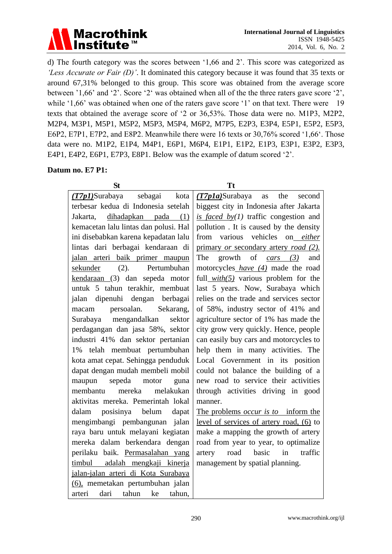# **Macrothink** Institute<sup>™</sup>

d) The fourth category was the scores between '1,66 and 2'. This score was categorized as *'Less Accurate or Fair (D)'*. It dominated this category because it was found that 35 texts or around 67,31% belonged to this group. This score was obtained from the average score between '1,66' and '2'. Score '2' was obtained when all of the the three raters gave score '2', while '1,66' was obtained when one of the raters gave score '1' on that text. There were 19 texts that obtained the average score of '2 or 36,53%. Those data were no. M1P3, M2P2, M2P4, M3P1, M5P1, M5P2, M5P3, M5P4, M6P2, M7P5, E2P3, E3P4, E5P1, E5P2, E5P3, E6P2, E7P1, E7P2, and E8P2. Meanwhile there were 16 texts or 30,76% scored '1,66'. Those data were no. M1P2, E1P4, M4P1, E6P1, M6P4, E1P1, E1P2, E1P3, E3P1, E3P2, E3P3, E4P1, E4P2, E6P1, E7P3, E8P1. Below was the example of datum scored '2'.

#### **Datum no. E7 P1:**

St Tt *(T7p1)*Surabaya sebagai kota terbesar kedua di Indonesia setelah Jakarta, dihadapkan pada (1) kemacetan lalu lintas dan polusi. Hal ini disebabkan karena kepadatan lalu lintas dari berbagai kendaraan di jalan arteri baik primer maupun sekunder (2). Pertumbuhan kendaraan (3) dan sepeda motor untuk 5 tahun terakhir, membuat jalan dipenuhi dengan berbagai macam persoalan. Sekarang, Surabaya mengandalkan sektor perdagangan dan jasa 58%, sektor industri 41% dan sektor pertanian 1% telah membuat pertumbuhan kota amat cepat. Sehingga penduduk dapat dengan mudah membeli mobil maupun sepeda motor guna membantu mereka melakukan aktivitas mereka. Pemerintah lokal dalam posisinya belum dapat mengimbangi pembangunan jalan raya baru untuk melayani kegiatan mereka dalam berkendara dengan perilaku baik. Permasalahan yang timbul adalah mengkaji kinerja jalan-jalan arteri di Kota Surabaya (6), memetakan pertumbuhan jalan arteri dari tahun ke tahun,

*(T7p1a)*Surabaya as the second biggest city in Indonesia after Jakarta *is faced by(1)* traffic congestion and pollution . It is caused by the density from various vehicles on *either*  primary *or* secondary artery *road (2).* The growth of *cars (3)* and motorcycles *have (4)* made the road full *with(5)* various problem for the last 5 years. Now, Surabaya which relies on the trade and services sector of 58%, industry sector of 41% and agriculture sector of 1% has made the city grow very quickly. Hence, people can easily buy cars and motorcycles to help them in many activities. The Local Government in its position could not balance the building of a new road to service their activities through activities driving in good manner.

The problems *occur is to* inform the level of services of artery road, (6) to make a mapping the growth of artery road from year to year, to optimalize artery road basic in traffic management by spatial planning.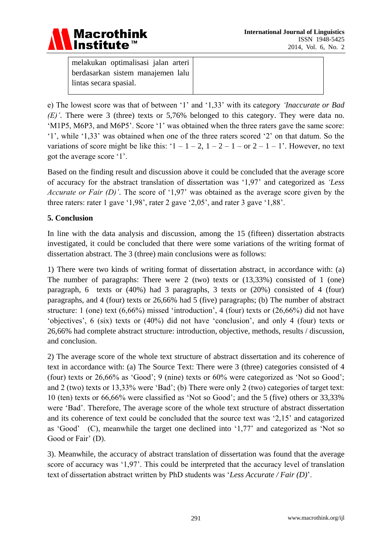

melakukan optimalisasi jalan arteri berdasarkan sistem manajemen lalu lintas secara spasial.

e) The lowest score was that of between '1' and '1,33' with its category *'Inaccurate or Bad (E)'*. There were 3 (three) texts or 5,76% belonged to this category. They were data no. 'M1P5, M6P3, and M6P5'. Score '1' was obtained when the three raters gave the same score: '1', while '1,33' was obtained when one of the three raters scored '2' on that datum. So the variations of score might be like this: ' $1 - 1 - 2$ ,  $1 - 2 - 1 -$  or  $2 - 1 - 1$ '. However, no text got the average score '1'.

Based on the finding result and discussion above it could be concluded that the average score of accuracy for the abstract translation of dissertation was '1,97' and categorized as *'Less Accurate or Fair (D)'*. The score of '1,97' was obtained as the average score given by the three raters: rater 1 gave '1,98', rater 2 gave '2,05', and rater 3 gave '1,88'.

# **5. Conclusion**

In line with the data analysis and discussion, among the 15 (fifteen) dissertation abstracts investigated, it could be concluded that there were some variations of the writing format of dissertation abstract. The 3 (three) main conclusions were as follows:

1) There were two kinds of writing format of dissertation abstract, in accordance with: (a) The number of paragraphs: There were 2 (two) texts or (13,33%) consisted of 1 (one) paragraph, 6 texts or (40%) had 3 paragraphs, 3 texts or (20%) consisted of 4 (four) paragraphs, and 4 (four) texts or 26,66% had 5 (five) paragraphs; (b) The number of abstract structure: 1 (one) text (6,66%) missed 'introduction', 4 (four) texts or (26,66%) did not have 'objectives', 6 (six) texts or (40%) did not have 'conclusion', and only 4 (four) texts or 26,66% had complete abstract structure: introduction, objective, methods, results / discussion, and conclusion.

2) The average score of the whole text structure of abstract dissertation and its coherence of text in accordance with: (a) The Source Text: There were 3 (three) categories consisted of 4 (four) texts or 26,66% as 'Good'; 9 (nine) texts or 60% were categorized as 'Not so Good'; and 2 (two) texts or 13,33% were 'Bad'; (b) There were only 2 (two) categories of target text: 10 (ten) texts or 66,66% were classified as 'Not so Good'; and the 5 (five) others or 33,33% were 'Bad'. Therefore, The average score of the whole text structure of abstract dissertation and its coherence of text could be concluded that the source text was '2,15' and catagorized as 'Good' (C), meanwhile the target one declined into '1,77' and categorized as 'Not so Good or Fair' (D).

3). Meanwhile, the accuracy of abstract translation of dissertation was found that the average score of accuracy was '1,97'. This could be interpreted that the accuracy level of translation text of dissertation abstract written by PhD students was '*Less Accurate / Fair (D)*'.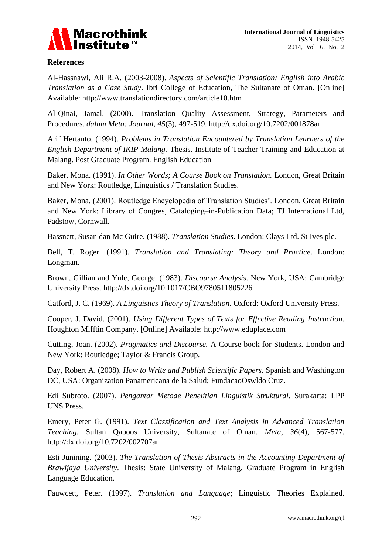

#### **References**

Al-Hassnawi, Ali R.A. (2003-2008). *Aspects of Scientific Translation: English into Arabic Translation as a Case Study*. Ibri College of Education, The Sultanate of Oman. [Online] Available: http://www.translationdirectory.com/article10.htm

Al-Qinai, Jamal. (2000). Translation Quality Assessment, Strategy, Parameters and Procedures. *dalam Meta: Journal, 45*(3), 497-519. http://dx.doi.org/10.7202/001878ar

Arif Hertanto. (1994). *Problems in Translation Encountered by Translation Learners of the English Department of IKIP Malang.* Thesis. Institute of Teacher Training and Education at Malang. Post Graduate Program. English Education

Baker, Mona. (1991). *In Other Words; A Course Book on Translation.* London, Great Britain and New York: Routledge, Linguistics / Translation Studies.

Baker, Mona. (2001). Routledge Encyclopedia of Translation Studies'. London, Great Britain and New York: Library of Congres, Cataloging–in-Publication Data; TJ International Ltd, Padstow, Cornwall.

Bassnett, Susan dan Mc Guire. (1988). *Translation Studies*. London: Clays Ltd. St Ives plc.

Bell, T. Roger. (1991). *Translation and Translating: Theory and Practice*. London: Longman.

Brown, Gillian and Yule, George. (1983). *Discourse Analysis*. New York, USA: Cambridge University Press. http://dx.doi.org/10.1017/CBO9780511805226

Catford, J. C. (1969). *A Linguistics Theory of Translation.* Oxford: Oxford University Press.

Cooper, J. David. (2001). *Using Different Types of Texts for Effective Reading Instruction.*  Houghton Mifftin Company. [Online] Available: http://www.eduplace.com

Cutting, Joan. (2002). *Pragmatics and Discourse.* A Course book for Students. London and New York: Routledge; Taylor & Francis Group.

Day, Robert A. (2008). *How to Write and Publish Scientific Papers.* Spanish and Washington DC, USA: Organization Panamericana de la Salud; FundacaoOswldo Cruz.

Edi Subroto. (2007). *Pengantar Metode Penelitian Linguistik Struktural.* Surakarta: LPP UNS Press.

Emery, Peter G. (1991). *Text Classification and Text Analysis in Advanced Translation Teaching.* Sultan Qaboos University, Sultanate of Oman. *Meta, 36*(4), 567-577. http://dx.doi.org/10.7202/002707ar

Esti Junining. (2003). *The Translation of Thesis Abstracts in the Accounting Department of Brawijaya University*. Thesis: State University of Malang, Graduate Program in English Language Education.

Fauwcett, Peter. (1997). *Translation and Language*; Linguistic Theories Explained.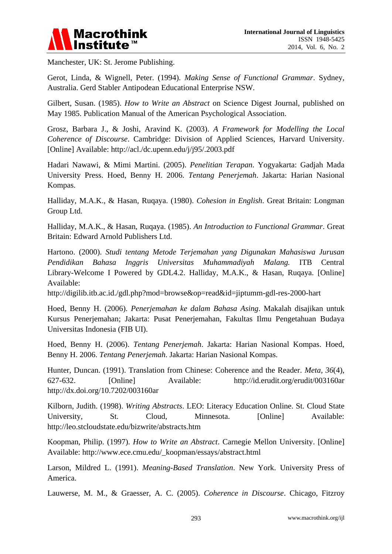

Manchester, UK: St. Jerome Publishing.

Gerot, Linda, & Wignell, Peter. (1994). *Making Sense of Functional Grammar*. Sydney, Australia. Gerd Stabler Antipodean Educational Enterprise NSW.

Gilbert, Susan. (1985). *How to Write an Abstract* on Science Digest Journal, published on May 1985. Publication Manual of the American Psychological Association.

Grosz, Barbara J., & Joshi, Aravind K. (2003). *A Framework for Modelling the Local Coherence of Discourse*. Cambridge: Division of Applied Sciences, Harvard University. [Online] Available: http://acl./dc.upenn.edu/j/j95/.2003.pdf

Hadari Nawawi, & Mimi Martini. (2005). *Penelitian Terapan*. Yogyakarta: Gadjah Mada University Press. Hoed, Benny H. 2006. *Tentang Penerjemah*. Jakarta: Harian Nasional Kompas.

Halliday, M.A.K., & Hasan, Ruqaya. (1980). *Cohesion in English*. Great Britain: Longman Group Ltd.

Halliday, M.A.K., & Hasan, Ruqaya. (1985). *An Introduction to Functional Grammar*. Great Britain: Edward Arnold Publishers Ltd.

Hartono. (2000). *Studi tentang Metode Terjemahan yang Digunakan Mahasiswa Jurusan Pendidikan Bahasa Inggris Universitas Muhammadiyah Malang.* ITB Central Library-Welcome I Powered by GDL4.2. Halliday, M.A.K., & Hasan, Ruqaya. [Online] Available:

http://digilib.itb.ac.id./gdl.php?mod=browse&op=read&id=jiptumm-gdl-res-2000-hart

Hoed, Benny H. (2006). *Penerjemahan ke dalam Bahasa Asing*. Makalah disajikan untuk Kursus Penerjemahan; Jakarta: Pusat Penerjemahan, Fakultas Ilmu Pengetahuan Budaya Universitas Indonesia (FIB UI).

Hoed, Benny H. (2006). *Tentang Penerjemah*. Jakarta: Harian Nasional Kompas. Hoed, Benny H. 2006. *Tentang Penerjemah*. Jakarta: Harian Nasional Kompas.

Hunter, Duncan. (1991). Translation from Chinese: Coherence and the Reader. *Meta, 36*(4), 627-632. [Online] Available: <http://id.erudit.org/erudit/003160ar> http://dx.doi.org/10.7202/003160ar

Kilborn, Judith. (1998). *Writing Abstracts*. LEO: Literacy Education Online. St. Cloud State University, St. Cloud, Minnesota. [Online] Available: <http://leo.stcloudstate.edu/bizwrite/abstracts.htm>

Koopman, Philip. (1997). *How to Write an Abstract*. Carnegie Mellon University. [Online] Available: [http://www.ece.cmu.edu/\\_koopman/essays/abstract.html](http://www.ece.cmu.edu/_koopman/essays/abstract.html)

Larson, Mildred L. (1991). *Meaning-Based Translation*. New York. University Press of America.

Lauwerse, M. M., & Graesser, A. C. (2005). *Coherence in Discourse*. Chicago, Fitzroy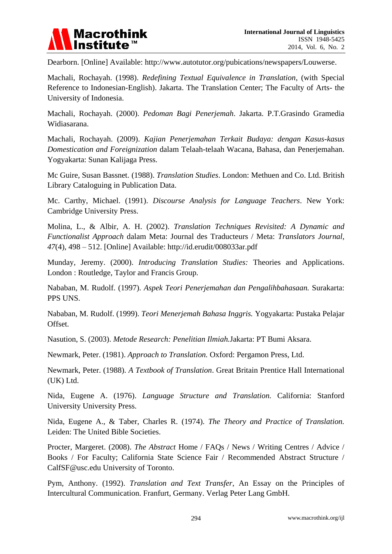

Dearborn. [Online] Available: [http://www.autotutor.org/pubications/newspapers/Louwerse.](http://www.autotutor.org/pubications/newspapers/Louwerse)

Machali, Rochayah. (1998). *Redefining Textual Equivalence in Translation*, (with Special Reference to Indonesian-English). Jakarta. The Translation Center; The Faculty of Arts- the University of Indonesia.

Machali, Rochayah. (2000). *Pedoman Bagi Penerjemah*. Jakarta. P.T.Grasindo Gramedia Widiasarana.

Machali, Rochayah. (2009). *Kajian Penerjemahan Terkait Budaya: dengan Kasus-kasus Domestication and Foreignization* dalam Telaah-telaah Wacana, Bahasa, dan Penerjemahan. Yogyakarta: Sunan Kalijaga Press.

Mc Guire, Susan Bassnet. (1988). *Translation Studies*. London: Methuen and Co. Ltd. British Library Cataloguing in Publication Data.

Mc. Carthy, Michael. (1991). *Discourse Analysis for Language Teachers*. New York: Cambridge University Press.

Molina, L., & Albir, A. H. (2002). *Translation Techniques Revisited: A Dynamic and Functionalist Approach* dalam Meta: Journal des Traducteurs / Meta: *Translators Journal, 47*(4), 498 – 512. [Online] Available: http://id.erudit/008033ar.pdf

Munday, Jeremy. (2000). *Introducing Translation Studies:* Theories and Applications. London : Routledge, Taylor and Francis Group.

Nababan, M. Rudolf. (1997). *Aspek Teori Penerjemahan dan Pengalihbahasaan.* Surakarta: PPS UNS.

Nababan, M. Rudolf. (1999). *Teori Menerjemah Bahasa Inggris.* Yogyakarta: Pustaka Pelajar Offset.

Nasution, S. (2003). *Metode Research: Penelitian Ilmiah.*Jakarta: PT Bumi Aksara.

Newmark, Peter. (1981). *Approach to Translation.* Oxford: Pergamon Press, Ltd.

Newmark, Peter. (1988). *A Textbook of Translation*. Great Britain Prentice Hall International (UK) Ltd.

Nida, Eugene A. (1976). *Language Structure and Translation.* California: Stanford University University Press.

Nida, Eugene A., & Taber, Charles R. (1974). *The Theory and Practice of Translation.*  Leiden: The United Bible Societies.

Procter, Margeret. (2008). *The Abstract* Home / FAQs / News / Writing Centres / Advice / Books / For Faculty; California State Science Fair / Recommended Abstract Structure / [CalfSF@usc.edu](mailto:CalfSF@usc.edu) University of Toronto.

Pym, Anthony. (1992). *Translation and Text Transfer*, An Essay on the Principles of Intercultural Communication. Franfurt, Germany. Verlag Peter Lang GmbH.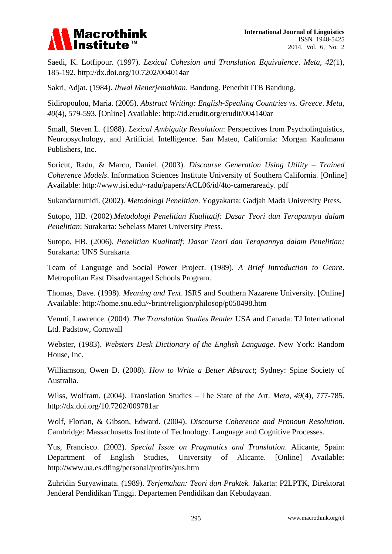# **Macrothink** Institute"

Saedi, K. Lotfipour. (1997). *Lexical Cohesion and Translation Equivalence*. *Meta, 42*(1), 185-192. http://dx.doi.org/10.7202/004014ar

Sakri, Adjat. (1984). *Ihwal Menerjemahkan*. Bandung. Penerbit ITB Bandung.

Sidiropoulou, Maria. (2005). *Abstract Writing: English-Speaking Countries vs. Greece*. *Meta, 40*(4), 579-593. [Online] Available:<http://id.erudit.org/erudit/004140ar>

Small, Steven L. (1988). *Lexical Ambiguity Resolution*: Perspectives from Psycholinguistics, Neuropsychology, and Artificial Intelligence. San Mateo, California: Morgan Kaufmann Publishers, Inc.

Soricut, Radu, & Marcu, Daniel. (2003). *Discourse Generation Using Utility – Trained Coherence Models*. Information Sciences Institute University of Southern California. [Online] Available: [http://www.isi.edu/~radu/papers/ACL06/id/4to-cameraready.](http://www.isi.edu/~radu/papers/ACL06/id/4to-cameraready) pdf

Sukandarrumidi. (2002). *Metodologi Penelitian*. Yogyakarta: Gadjah Mada University Press.

Sutopo, HB. (2002).*Metodologi Penelitian Kualitatif: Dasar Teori dan Terapannya dalam Penelitian*; Surakarta: Sebelass Maret University Press.

Sutopo, HB. (2006). *Penelitian Kualitatif: Dasar Teori dan Terapannya dalam Penelitian;*  Surakarta: UNS Surakarta

Team of Language and Social Power Project. (1989). *A Brief Introduction to Genre*. Metropolitan East Disadvantaged Schools Program.

Thomas, Dave. (1998). *Meaning and Text*. ISRS and Southern Nazarene University. [Online] Available:<http://home.snu.edu/~brint/religion/philosop/p050498.htm>

Venuti, Lawrence. (2004). *The Translation Studies Reader* USA and Canada: TJ International Ltd. Padstow, Cornwall

Webster, (1983). *Websters Desk Dictionary of the English Language*. New York: Random House, Inc.

Williamson, Owen D. (2008). *How to Write a Better Abstract*; Sydney: Spine Society of Australia.

Wilss, Wolfram. (2004). Translation Studies – The State of the Art. *Meta, 49*(4), 777-785. http://dx.doi.org/10.7202/009781ar

Wolf, Florian, & Gibson, Edward. (2004). *Discourse Coherence and Pronoun Resolution*. Cambridge: Massachusetts Institute of Technology. Language and Cognitive Processes.

Yus, Francisco. (2002). *Special Issue on Pragmatics and Translation*. Alicante, Spain: Department of English Studies, University of Alicante. [Online] Available: <http://www.ua.es.dfing/personal/profits/yus.htm>

Zuhridin Suryawinata. (1989). *Terjemahan: Teori dan Praktek.* Jakarta: P2LPTK, Direktorat Jenderal Pendidikan Tinggi. Departemen Pendidikan dan Kebudayaan.